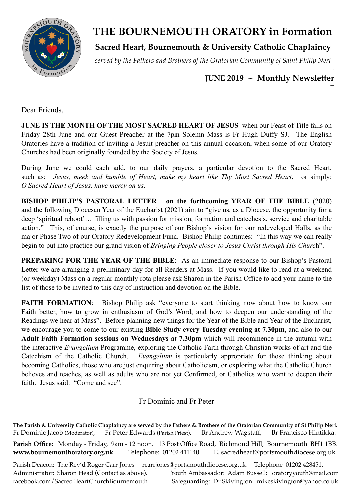

# **THE BOURNEMOUTH ORATORY in Formation**

**Sacred Heart, Bournemouth & University Catholic Chaplaincy**

*served by the Fathers and Brothers of the Oratorian Community of Saint Philip Neri*

#### *\_\_\_\_\_\_\_\_\_\_\_\_\_\_\_\_\_\_\_\_\_\_\_\_\_\_\_\_\_\_\_\_\_\_\_\_\_\_\_\_\_\_\_\_\_\_\_\_\_\_\_\_\_\_\_\_\_\_\_\_\_\_\_\_\_\_\_\_\_\_\_\_-*  **JUNE 2019 ~ Monthly Newsletter**

Dear Friends

**JUNE IS THE MONTH OF THE MOST SACRED HEART OF JESUS** when our Feast of Title falls on Friday 28th June and our Guest Preacher at the 7pm Solemn Mass is Fr Hugh Duffy SJ. The English Oratories have a tradition of inviting a Jesuit preacher on this annual occasion, when some of our Oratory Churches had been originally founded by the Society of Jesus.

During June we could each add, to our daily prayers, a particular devotion to the Sacred Heart, such as: *Jesus, meek and humble of Heart, make my heart like Thy Most Sacred Heart*, or simply: *O Sacred Heart of Jesus, have mercy on us*.

**BISHOP PHILIP'S PASTORAL LETTER on the forthcoming YEAR OF THE BIBLE** (2020) and the following Diocesan Year of the Eucharist (2021) aim to "give us, as a Diocese, the opportunity for a deep 'spiritual reboot'… filling us with passion for mission, formation and catechesis, service and charitable action." This, of course, is exactly the purpose of our Bishop's vision for our redeveloped Halls, as the major Phase Two of our Oratory Redevelopment Fund. Bishop Philip continues: "In this way we can really begin to put into practice our grand vision of *Bringing People closer to Jesus Christ through His Churc*h".

**PREPARING FOR THE YEAR OF THE BIBLE**: As an immediate response to our Bishop's Pastoral Letter we are arranging a preliminary day for all Readers at Mass. If you would like to read at a weekend (or weekday) Mass on a regular monthly rota please ask Sharon in the Parish Office to add your name to the list of those to be invited to this day of instruction and devotion on the Bible.

**FAITH FORMATION:** Bishop Philip ask "everyone to start thinking now about how to know our Faith better, how to grow in enthusiasm of God's Word, and how to deepen our understanding of the Readings we hear at Mass". Before planning new things for the Year of the Bible and Year of the Eucharist, we encourage you to come to our existing **Bible Study every Tuesday evening at 7.30pm**, and also to our **Adult Faith Formation sessions on Wednesdays at 7.30pm** which will recommence in the autumn with the interactive *Evangelium* Programme, exploring the Catholic Faith through Christian works of art and the Catechism of the Catholic Church. *Evangelium* is particularly appropriate for those thinking about becoming Catholics, those who are just enquiring about Catholicism, or exploring what the Catholic Church believes and teaches, as well as adults who are not yet Confirmed, or Catholics who want to deepen their faith. Jesus said: "Come and see".

Fr Dominic and Fr Peter

**The Parish & University Catholic Chaplaincy are served by the Fathers & Brothers of the Oratorian Community of St Philip Neri.** Fr Dominic Jacob (Moderator), Fr Peter Edwards (Parish Priest), Br Andrew Wagstaff, Br Francisco Hintikka. **Parish Office:** Monday - Friday, 9am - 12 noon. 13 Post Office Road, Richmond Hill, Bournemouth BH1 1BB. **[www.bournemouthoratory.org.uk](http://www.bournemoithoratory.org.uk)** Telephone: 01202 411140. E. [sacredheart@portsmouthdiocese.org.uk](mailto:sacredheart@portsmouthdiocese.org.uk) Parish Deacon: The Rev'd Roger Carr-Jones [rcarrjones@portsmouthdiocese.org.uk](mailto:rcarrjones@portsmouthdiocese.org.uk) Telephone 01202 428451. Administrator: Sharon Head (Contact as above). Youth Ambassador: Adam Bussell: [oratoryyouth@mail.com](http://oratoryyouth.mail.com) [facebook.com/SacredHeartChurchBournemouth](http://facebook.com/SaccredHeartChurchBournemouth) Safeguarding: Dr Skivington: mikeskivington@yahoo.co.uk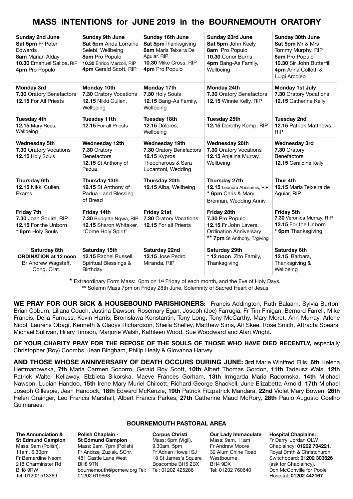# **MASS INTENTIONS for JUNE 2019 in the BOURNEMOUTH ORATORY**

| <b>Sunday 2nd June</b><br>Sat 5pm Fr Peter<br>Edwards<br>8am Marian Alday<br>10.30 Emanuel Saliba, RIP<br>4pm Pro Populo | <b>Sunday 9th June</b><br>Sat 5pm Anda Lorraine<br>Selebi, Wellbeing<br>8am Pro Populo<br>10.30 Enrico Marzoli, RIP<br>4pm Gerald Scott, RIP | <b>Sunday 16th June</b><br>Sat 5pmThanksgiving<br>8am Maria Teixeira De<br>Aguiar, RIP<br>10.30 Mike Cross, RIP<br>4pm Pro Populo | <b>Sunday 23rd June</b><br>Sat 5pm John Keely<br>8am Pro Populo<br>10.30 Conor Burns<br>4pm Bang-As Family,<br>Wellbeing | <b>Sunday 30th June</b><br>Sat 5pm Mr & Mrs<br>Tommy Murphy, RIP<br>8am Pro Populo<br>10.30 Sir John Butterfill<br>4pm Anna Colletti &<br>Luigi Arcoleo |
|--------------------------------------------------------------------------------------------------------------------------|----------------------------------------------------------------------------------------------------------------------------------------------|-----------------------------------------------------------------------------------------------------------------------------------|--------------------------------------------------------------------------------------------------------------------------|---------------------------------------------------------------------------------------------------------------------------------------------------------|
| <b>Monday 3rd</b><br>7.30 Oratory Benefactors<br>12.15 For All Priests                                                   | Monday 10th<br>7.30 Oratory Vocations<br>12.15 Nikki Cullen,<br>Wellbeing                                                                    | Monday 17th<br>7.30 Holy Souls<br>12.15 Bang-As Family,<br>Wellbeing                                                              | Monday 24th<br>7.30 Oratory Benefactors<br>12.15 Winnie Kelly, RIP                                                       | Monday 1st July<br>7.30 Oratory Vocations<br>12.15 Catherine Kelly                                                                                      |
| <b>Tuesday 4th</b><br><b>12.15 Mary Rees.</b><br>Wellbeing                                                               | <b>Tuesday 11th</b><br>12.15 For all Priests                                                                                                 | Tuesday 18th<br>12.15 Dolores.<br>Wellbeing                                                                                       | <b>Tuesday 25th</b><br>12.15 Dorothy Kemp, RIP                                                                           | <b>Tuesday 2nd</b><br><b>12.15 Patrick Matthews.</b><br><b>RIP</b>                                                                                      |
| <b>Wednesday 5th</b><br>7.30 Oratory Vocations<br>12.15 Holy Souls                                                       | Wednesday 12th<br>7.30 Oratory<br><b>Benefactors</b><br>12.15 St Anthony of<br>Padua                                                         | Wednesday 19th<br>7.30 Oratory Benefactors<br>12.15 Kypros<br>Theocharous & Sara<br>Lucantoni, Wedding                            | Wednesday 26th<br>7.30 Oratory Vocations<br>12.15 Anjelina Murray,<br>Wellbeing                                          | <b>Wednesday 3rd</b><br>7.30 Oratory<br><b>Benefactors</b><br>12.15 Geraldine Kelly                                                                     |
| Thursday 6th<br>12.15 Nikki Cullen,<br>Exams                                                                             | Thursday 13th<br>12.15 St Anthony of<br>Padua - and Blessing<br>of Bread                                                                     | Thursday 20th<br>12.15 Alba, Wellbeing                                                                                            | Thursday 27th<br>12.15 Leonora Abesamis, RIP<br>* 6pm Chris & Mary<br>Brennan, Wedding Anniv.                            | Thur 4th<br>12.15 Maria Teixeira de<br>Aguiar, RIP                                                                                                      |
| <b>Friday 7th</b><br>7.30 Joan Squire, RIP<br>12.15 For the Unborn<br>* 6pm Holy Souls                                   | Friday 14th<br>7.30 Bridgitte Ngwa, RIP<br>12.15 Sharon Whitaker,<br>"Come Holy Spirit"                                                      | Friday 21st<br>7.30 Oratory Vocations<br>12.15 For all Priests                                                                    | Friday 28th<br>7.30 Pro Populo<br>12.15 Fr John Lavers,<br><b>Ordination Anniversary</b><br>** 7pm St Anthony, T/giving  | Friday 5th<br>7.30 Veronica Murray, RIP<br>12.15 For the Unborn<br>* 6pm Thanksgiving                                                                   |
| Saturday 8th<br><b>ORDINATION at 12 noon</b><br>Br Andrew Wagstaff,<br>Cong. Orat.                                       | Saturday 15th<br>12.15 Rachel Russell,<br>Spiritual Blessings &<br>Birthday                                                                  | Saturday 22nd<br>12.15 Jose Pedro<br>Miranda, RIP                                                                                 | Saturday 29th<br>* 12 noon Zito Family,<br>Thanksgiving                                                                  | Saturday 6th<br>12.15 Barbara,<br>Thanksgiving &<br>Wellbeing                                                                                           |

**\*** Extraordinary Form Mass: 6pm on 1st Friday of each month, and the Eve of Holy Days. **\*\*** Solemn Mass 7pm on Friday 28th June, Solemnity of Sacred Heart of Jesus

**WE PRAY FOR OUR SICK & HOUSEBOUND PARISHIONERS:** Francis Addington, Ruth Balaam, Sylvia Burton, Brian Coburn, Liliana Couch, Justina Dawson, Rosemary Egan, Joseph (Joe) Farrugia, Fr Tim Finigan, Bernard Farrell, Mike Francis, Delia Furness, Kevin Harris, Bronislawa Konstantin, Tony Long, Tony McCarthy, Mary Moret, Ann Murray, Arlene Nicol, Laurens Obagi, Kenneth & Gladys Richardson, Sheila Shelley, Matthew Sims, Alf Skee, Rose Smith, Attracta Spears, Michael Sullivan, Hilary Timson, Marjorie Walsh, Kathleen Wood, Sue Woodward and Alan Wright.

**OF YOUR CHARITY PRAY FOR THE REPOSE OF THE SOULS OF THOSE WHO HAVE DIED RECENTLY,** especially Christopher (Roy) Coombs, Jean Bingham, Philip Healy & Giovanna Harvey.

**AND THOSE WHOSE ANNIVERSARY OF DEATH OCCURS DURING JUNE: 3rd** Marie Winifred Ellis, **6th** Helena Hertmanowska, **7th** Maria Carmen Socorro, Gerald Roy Scott, **10th** Albert Thomas Gordon, **11th** Tadeusz Wais, **12th**  Patrick Walter Kellaway, Elzbieta Sikorska, Maeve Frances Gorham, **13th** Irmgarda Maria Radomska, **14th** Michael Nawson, Lucian Handoo, **15th** Irene Mary Muriel Chilcott, Richard George Shackell, June Elizabetta Arnold, **17th** Michael Joseph Gillespie, Jean Hancock, **18th** Edward McKenzie, **19th** Patrick Fitzpatrick Mandara, **22nd** Violet Mary Bowen, **26th** Helen Grainger, Leo Francis Marshall, Albert Francis Parkes, **27th** Catherine Maud McRory, **28th** Paulo Augusto Coelho Guimaraes.

#### **The Annunciation & St Edmund Campion**  Mass: 9am (Polish), 11am, 6.30pm Fr Bernardine Nsom 218 Charminster Rd BH8 9RW Tel: 01202 513369

**Polish Chaplain - St Edmund Campion** Mass: 9am, 7pm (Polish) Fr Andrzej Zuziak, SChr. 481 Castle Lane West BH8 9TN [bournemouth@pcmew.org](mailto:bournemouth@pcmew.org) Tel: Tel: 01202 425286 01202 619668

#### **BOURNEMOUTH PASTORAL AREA**

**Corpus Christi**  Mass: 6pm (Vigil), 9.30am, 5pm Fr Adrian Howell SJ 18 St James's Square Boscombe BH5 2BX

**Our Lady Immaculate**  Mass: 9am, 11am Fr Andrew Moore 32 Alum Chine Road **Westbourne** BH4 9DX Tel: 01202 760640

#### **Hospital Chaplains:**  Fr Darryl Jordan OLW Chaplaincy: **01202 704221.** Royal Bmth & Christchurch Switchboard: **01202 303626** (ask for Chaplaincy). Dcn McConville for Poole Hospital: **01202 442167**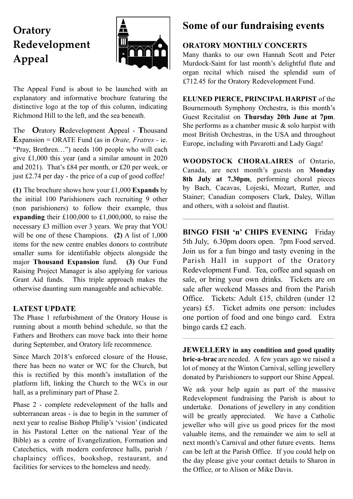# **Oratory Redevelopment Appeal**



The Appeal Fund is about to be launched with an explanatory and informative brochure featuring the distinctive logo at the top of this column, indicating Richmond Hill to the left, and the sea beneath.

The **O**ratory **R**edevelopment **A**ppeal - **T**housand **E**xpansion = ORATE Fund (as in *Orate, Fratres -* ie. "Pray, Brethren…") needs 100 people who will each give £1,000 this year (and a similar amount in 2020 and 2021). That's £84 per month, or £20 per week, or just £2.74 per day - the price of a cup of good coffee!

**(1)** The brochure shows how your £1,000 **Expands** by the initial 100 Parishioners each recruiting 9 other (non parishioners) to follow their example, thus **expanding** their £100,000 to £1,000,000, to raise the necessary £3 million over 3 years. We pray that YOU will be one of these Champions. **(2)** A list of 1,000 items for the new centre enables donors to contribute smaller sums for identifiable objects alongside the major **Thousand Expansion** fund. **(3)** Our Fund Raising Project Manager is also applying for various Grant Aid funds. This triple approach makes the otherwise daunting sum manageable and achievable.

### **LATEST UPDATE**

The Phase 1 refurbishment of the Oratory House is running about a month behind schedule, so that the Fathers and Brothers can move back into their home during September, and Oratory life recommence.

Since March 2018's enforced closure of the House, there has been no water or WC for the Church, but this is rectified by this month's installation of the platform lift, linking the Church to the WCs in our hall, as a preliminary part of Phase 2.

Phase 2 - complete redevelopment of the halls and subterranean areas - is due to begin in the summer of next year to realise Bishop Philip's 'vision' (indicated in his Pastoral Letter on the national Year of the Bible) as a centre of Evangelization, Formation and Catechetics, with modern conference halls, parish / chaplaincy offices, bookshop, restaurant, and facilities for services to the homeless and needy.

# **Some of our fundraising events**

### **ORATORY MONTHLY CONCERTS**

Many thanks to our own Hannah Scott and Peter Murdock-Saint for last month's delightful flute and organ recital which raised the splendid sum of £712.45 for the Oratory Redevelopment Fund.

**ELUNED PIERCE, PRINCIPAL HARPIST** of the Bournemouth Symphony Orchestra, is this month's Guest Recitalist on **Thursday 20th June at 7pm**. She performs as a chamber music  $\&$  solo harpist with most British Orchestras, in the USA and throughout Europe, including with Pavarotti and Lady Gaga!

**WOODSTOCK CHORALAIRES** of Ontario, Canada, are next month's guests on **Monday 8th July at 7.30pm**, performing choral pieces by Bach, Cacavas, Lojeski, Mozart, Rutter, and Stainer; Canadian composers Clark, Daley, Willan and others, with a soloist and flautist.

\_\_\_\_\_\_\_\_\_\_\_\_\_\_\_\_\_\_\_\_\_\_\_\_\_\_\_\_\_\_\_\_\_\_\_\_\_\_\_\_\_\_\_\_\_\_\_\_\_\_\_\_\_\_\_\_\_\_\_\_\_\_\_\_\_\_\_\_\_\_\_\_\_\_\_\_\_\_\_\_\_\_\_\_\_

**BINGO FISH 'n' CHIPS EVENING** Friday 5th July, 6.30pm doors open. 7pm Food served. Join us for a fun bingo and tasty evening in the Parish Hall in support of the Oratory Redevelopment Fund. Tea, coffee and squash on sale, or bring your own drinks. Tickets are on sale after weekend Masses and from the Parish Office. Tickets: Adult £15, children (under 12 years) £5. Ticket admits one person: includes one portion of food and one bingo card. Extra bingo cards £2 each.

**JEWELLERY in any condition and good quality bric-a-brac** are needed. A few years ago we raised a lot of money at the Winton Carnival, selling jewellery donated by Parishioners to support our Shine Appeal.

 $\_$  , and the state of the state of the state of the state of the state of the state of the state of the state of the state of the state of the state of the state of the state of the state of the state of the state of the

We ask your help again as part of the massive Redevelopment fundraising the Parish is about to undertake. Donations of jewellery in any condition will be greatly appreciated. We have a Catholic jeweller who will give us good prices for the most valuable items, and the remainder we aim to sell at next month's Carnival and other future events. Items can be left at the Parish Office. If you could help on the day please give your contact details to Sharon in the Office, or to Alison or Mike Davis.